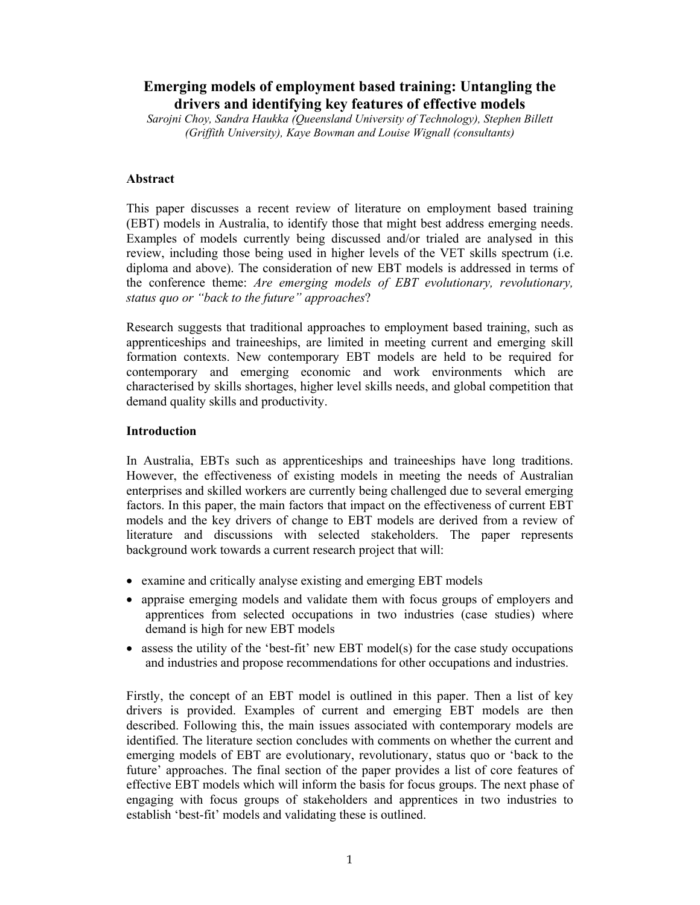# **Emerging models of employment based training: Untangling the drivers and identifying key features of effective models**

*Sarojni Choy, Sandra Haukka (Queensland University of Technology), Stephen Billett (Griffith University), Kaye Bowman and Louise Wignall (consultants)* 

### **Abstract**

This paper discusses a recent review of literature on employment based training (EBT) models in Australia, to identify those that might best address emerging needs. Examples of models currently being discussed and/or trialed are analysed in this review, including those being used in higher levels of the VET skills spectrum (i.e. diploma and above). The consideration of new EBT models is addressed in terms of the conference theme: *Are emerging models of EBT evolutionary, revolutionary, status quo or "back to the future" approaches*?

Research suggests that traditional approaches to employment based training, such as apprenticeships and traineeships, are limited in meeting current and emerging skill formation contexts. New contemporary EBT models are held to be required for contemporary and emerging economic and work environments which are characterised by skills shortages, higher level skills needs, and global competition that demand quality skills and productivity.

### **Introduction**

In Australia, EBTs such as apprenticeships and traineeships have long traditions. However, the effectiveness of existing models in meeting the needs of Australian enterprises and skilled workers are currently being challenged due to several emerging factors. In this paper, the main factors that impact on the effectiveness of current EBT models and the key drivers of change to EBT models are derived from a review of literature and discussions with selected stakeholders. The paper represents background work towards a current research project that will:

- examine and critically analyse existing and emerging EBT models
- appraise emerging models and validate them with focus groups of employers and apprentices from selected occupations in two industries (case studies) where demand is high for new EBT models
- $\bullet$  assess the utility of the 'best-fit' new EBT model(s) for the case study occupations and industries and propose recommendations for other occupations and industries.

Firstly, the concept of an EBT model is outlined in this paper. Then a list of key drivers is provided. Examples of current and emerging EBT models are then described. Following this, the main issues associated with contemporary models are identified. The literature section concludes with comments on whether the current and emerging models of EBT are evolutionary, revolutionary, status quo or 'back to the future' approaches. The final section of the paper provides a list of core features of effective EBT models which will inform the basis for focus groups. The next phase of engaging with focus groups of stakeholders and apprentices in two industries to establish 'best-fit' models and validating these is outlined.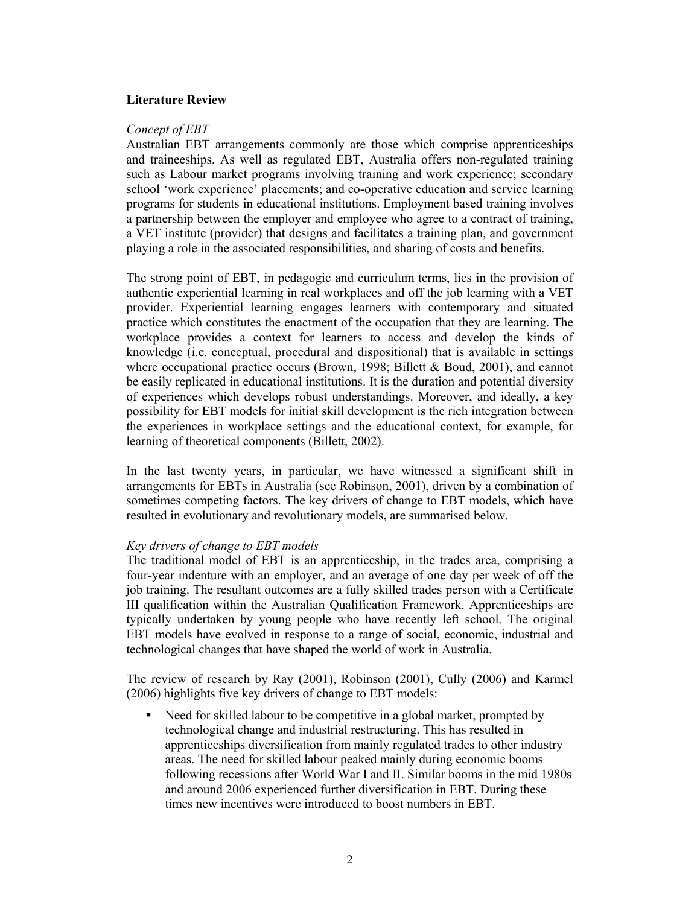### **Literature Review**

#### *Concept of EBT*

Australian EBT arrangements commonly are those which comprise apprenticeships and traineeships. As well as regulated EBT, Australia offers non-regulated training such as Labour market programs involving training and work experience; secondary school 'work experience' placements; and co-operative education and service learning programs for students in educational institutions. Employment based training involves a partnership between the employer and employee who agree to a contract of training, a VET institute (provider) that designs and facilitates a training plan, and government playing a role in the associated responsibilities, and sharing of costs and benefits.

The strong point of EBT, in pedagogic and curriculum terms, lies in the provision of authentic experiential learning in real workplaces and off the job learning with a VET provider. Experiential learning engages learners with contemporary and situated practice which constitutes the enactment of the occupation that they are learning. The workplace provides a context for learners to access and develop the kinds of knowledge (i.e. conceptual, procedural and dispositional) that is available in settings where occupational practice occurs (Brown, 1998; Billett & Boud, 2001), and cannot be easily replicated in educational institutions. It is the duration and potential diversity of experiences which develops robust understandings. Moreover, and ideally, a key possibility for EBT models for initial skill development is the rich integration between the experiences in workplace settings and the educational context, for example, for learning of theoretical components (Billett, 2002).

In the last twenty years, in particular, we have witnessed a significant shift in arrangements for EBTs in Australia (see Robinson, 2001), driven by a combination of sometimes competing factors. The key drivers of change to EBT models, which have resulted in evolutionary and revolutionary models, are summarised below.

#### *Key drivers of change to EBT models*

The traditional model of EBT is an apprenticeship, in the trades area, comprising a four-year indenture with an employer, and an average of one day per week of off the job training. The resultant outcomes are a fully skilled trades person with a Certificate III qualification within the Australian Qualification Framework. Apprenticeships are typically undertaken by young people who have recently left school. The original EBT models have evolved in response to a range of social, economic, industrial and technological changes that have shaped the world of work in Australia.

The review of research by Ray (2001), Robinson (2001), Cully (2006) and Karmel (2006) highlights five key drivers of change to EBT models:

 Need for skilled labour to be competitive in a global market, prompted by technological change and industrial restructuring. This has resulted in apprenticeships diversification from mainly regulated trades to other industry areas. The need for skilled labour peaked mainly during economic booms following recessions after World War I and II. Similar booms in the mid 1980s and around 2006 experienced further diversification in EBT. During these times new incentives were introduced to boost numbers in EBT.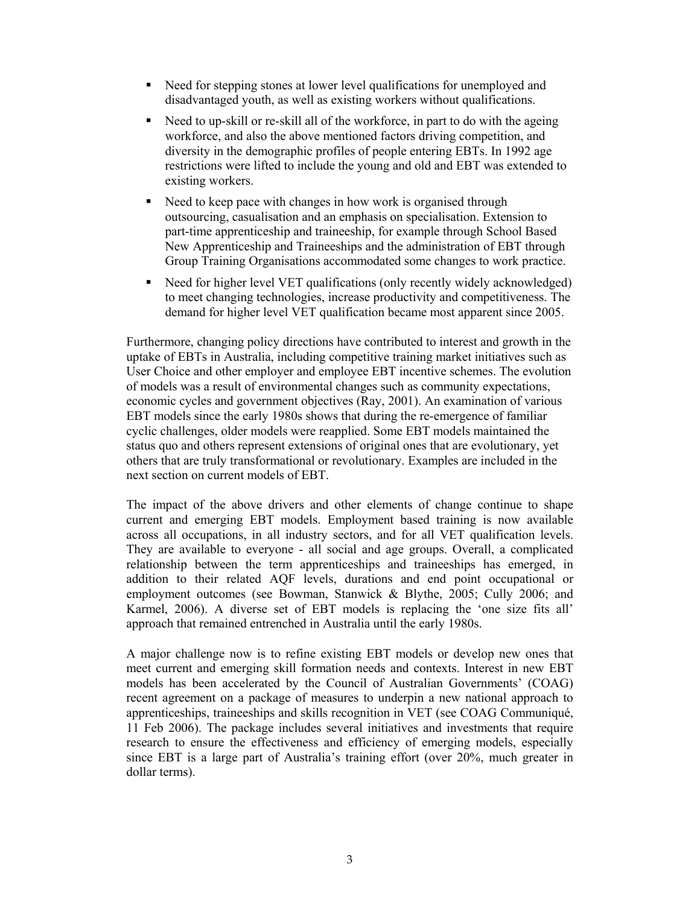- Need for stepping stones at lower level qualifications for unemployed and disadvantaged youth, as well as existing workers without qualifications.
- Need to up-skill or re-skill all of the workforce, in part to do with the ageing workforce, and also the above mentioned factors driving competition, and diversity in the demographic profiles of people entering EBTs. In 1992 age restrictions were lifted to include the young and old and EBT was extended to existing workers.
- Need to keep pace with changes in how work is organised through outsourcing, casualisation and an emphasis on specialisation. Extension to part-time apprenticeship and traineeship, for example through School Based New Apprenticeship and Traineeships and the administration of EBT through Group Training Organisations accommodated some changes to work practice.
- Need for higher level VET qualifications (only recently widely acknowledged) to meet changing technologies, increase productivity and competitiveness. The demand for higher level VET qualification became most apparent since 2005.

Furthermore, changing policy directions have contributed to interest and growth in the uptake of EBTs in Australia, including competitive training market initiatives such as User Choice and other employer and employee EBT incentive schemes. The evolution of models was a result of environmental changes such as community expectations, economic cycles and government objectives (Ray, 2001). An examination of various EBT models since the early 1980s shows that during the re-emergence of familiar cyclic challenges, older models were reapplied. Some EBT models maintained the status quo and others represent extensions of original ones that are evolutionary, yet others that are truly transformational or revolutionary. Examples are included in the next section on current models of EBT.

The impact of the above drivers and other elements of change continue to shape current and emerging EBT models. Employment based training is now available across all occupations, in all industry sectors, and for all VET qualification levels. They are available to everyone - all social and age groups. Overall, a complicated relationship between the term apprenticeships and traineeships has emerged, in addition to their related AQF levels, durations and end point occupational or employment outcomes (see Bowman, Stanwick & Blythe, 2005; Cully 2006; and Karmel, 2006). A diverse set of EBT models is replacing the 'one size fits all' approach that remained entrenched in Australia until the early 1980s.

A major challenge now is to refine existing EBT models or develop new ones that meet current and emerging skill formation needs and contexts. Interest in new EBT models has been accelerated by the Council of Australian Governments' (COAG) recent agreement on a package of measures to underpin a new national approach to apprenticeships, traineeships and skills recognition in VET (see COAG Communiqué, 11 Feb 2006). The package includes several initiatives and investments that require research to ensure the effectiveness and efficiency of emerging models, especially since EBT is a large part of Australia's training effort (over 20%, much greater in dollar terms).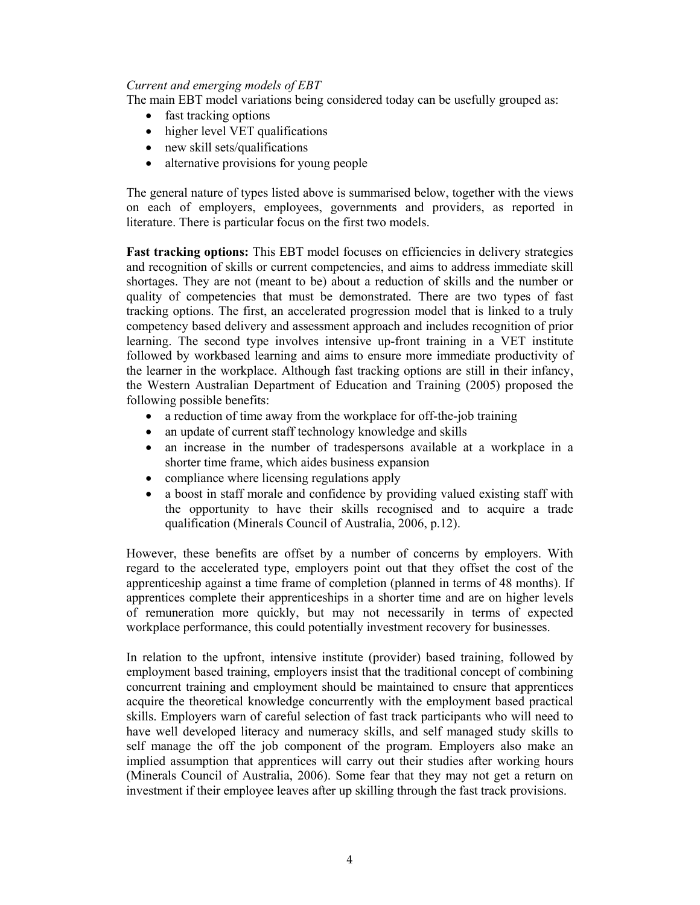### *Current and emerging models of EBT*

The main EBT model variations being considered today can be usefully grouped as:

- fast tracking options
- higher level VET qualifications
- new skill sets/qualifications
- alternative provisions for young people

The general nature of types listed above is summarised below, together with the views on each of employers, employees, governments and providers, as reported in literature. There is particular focus on the first two models.

**Fast tracking options:** This EBT model focuses on efficiencies in delivery strategies and recognition of skills or current competencies, and aims to address immediate skill shortages. They are not (meant to be) about a reduction of skills and the number or quality of competencies that must be demonstrated. There are two types of fast tracking options. The first, an accelerated progression model that is linked to a truly competency based delivery and assessment approach and includes recognition of prior learning. The second type involves intensive up-front training in a VET institute followed by workbased learning and aims to ensure more immediate productivity of the learner in the workplace. Although fast tracking options are still in their infancy, the Western Australian Department of Education and Training (2005) proposed the following possible benefits:

- a reduction of time away from the workplace for off-the-job training
- an update of current staff technology knowledge and skills
- an increase in the number of tradespersons available at a workplace in a shorter time frame, which aides business expansion
- compliance where licensing regulations apply
- a boost in staff morale and confidence by providing valued existing staff with the opportunity to have their skills recognised and to acquire a trade qualification (Minerals Council of Australia, 2006, p.12).

However, these benefits are offset by a number of concerns by employers. With regard to the accelerated type, employers point out that they offset the cost of the apprenticeship against a time frame of completion (planned in terms of 48 months). If apprentices complete their apprenticeships in a shorter time and are on higher levels of remuneration more quickly, but may not necessarily in terms of expected workplace performance, this could potentially investment recovery for businesses.

In relation to the upfront, intensive institute (provider) based training, followed by employment based training, employers insist that the traditional concept of combining concurrent training and employment should be maintained to ensure that apprentices acquire the theoretical knowledge concurrently with the employment based practical skills. Employers warn of careful selection of fast track participants who will need to have well developed literacy and numeracy skills, and self managed study skills to self manage the off the job component of the program. Employers also make an implied assumption that apprentices will carry out their studies after working hours (Minerals Council of Australia, 2006). Some fear that they may not get a return on investment if their employee leaves after up skilling through the fast track provisions.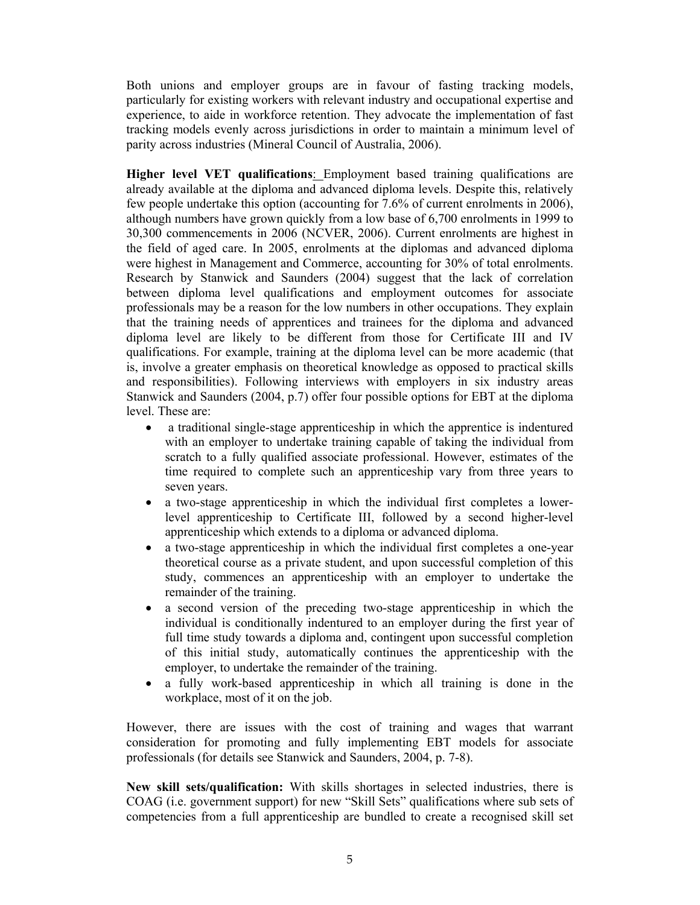Both unions and employer groups are in favour of fasting tracking models, particularly for existing workers with relevant industry and occupational expertise and experience, to aide in workforce retention. They advocate the implementation of fast tracking models evenly across jurisdictions in order to maintain a minimum level of parity across industries (Mineral Council of Australia, 2006).

**Higher level VET qualifications**: Employment based training qualifications are already available at the diploma and advanced diploma levels. Despite this, relatively few people undertake this option (accounting for 7.6% of current enrolments in 2006), although numbers have grown quickly from a low base of 6,700 enrolments in 1999 to 30,300 commencements in 2006 (NCVER, 2006). Current enrolments are highest in the field of aged care. In 2005, enrolments at the diplomas and advanced diploma were highest in Management and Commerce, accounting for 30% of total enrolments. Research by Stanwick and Saunders (2004) suggest that the lack of correlation between diploma level qualifications and employment outcomes for associate professionals may be a reason for the low numbers in other occupations. They explain that the training needs of apprentices and trainees for the diploma and advanced diploma level are likely to be different from those for Certificate III and IV qualifications. For example, training at the diploma level can be more academic (that is, involve a greater emphasis on theoretical knowledge as opposed to practical skills and responsibilities). Following interviews with employers in six industry areas Stanwick and Saunders (2004, p.7) offer four possible options for EBT at the diploma level. These are:

- a traditional single-stage apprenticeship in which the apprentice is indentured with an employer to undertake training capable of taking the individual from scratch to a fully qualified associate professional. However, estimates of the time required to complete such an apprenticeship vary from three years to seven years.
- a two-stage apprenticeship in which the individual first completes a lowerlevel apprenticeship to Certificate III, followed by a second higher-level apprenticeship which extends to a diploma or advanced diploma.
- a two-stage apprenticeship in which the individual first completes a one-year theoretical course as a private student, and upon successful completion of this study, commences an apprenticeship with an employer to undertake the remainder of the training.
- a second version of the preceding two-stage apprenticeship in which the individual is conditionally indentured to an employer during the first year of full time study towards a diploma and, contingent upon successful completion of this initial study, automatically continues the apprenticeship with the employer, to undertake the remainder of the training.
- a fully work-based apprenticeship in which all training is done in the workplace, most of it on the job.

However, there are issues with the cost of training and wages that warrant consideration for promoting and fully implementing EBT models for associate professionals (for details see Stanwick and Saunders, 2004, p. 7-8).

**New skill sets/qualification:** With skills shortages in selected industries, there is COAG (i.e. government support) for new "Skill Sets" qualifications where sub sets of competencies from a full apprenticeship are bundled to create a recognised skill set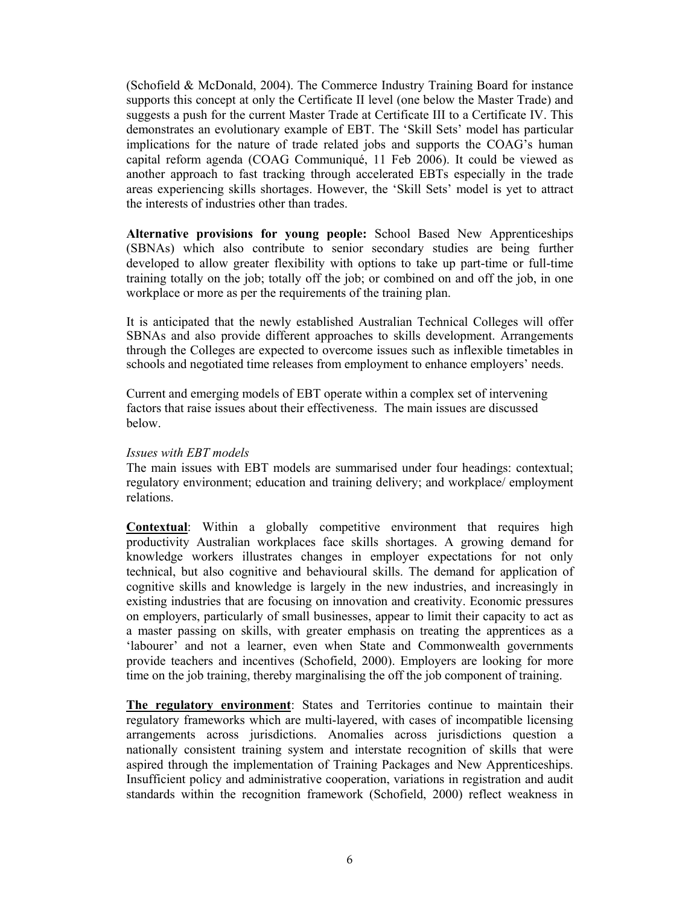(Schofield & McDonald, 2004). The Commerce Industry Training Board for instance supports this concept at only the Certificate II level (one below the Master Trade) and suggests a push for the current Master Trade at Certificate III to a Certificate IV. This demonstrates an evolutionary example of EBT. The 'Skill Sets' model has particular implications for the nature of trade related jobs and supports the COAG's human capital reform agenda (COAG Communiqué, 11 Feb 2006). It could be viewed as another approach to fast tracking through accelerated EBTs especially in the trade areas experiencing skills shortages. However, the 'Skill Sets' model is yet to attract the interests of industries other than trades.

**Alternative provisions for young people:** School Based New Apprenticeships (SBNAs) which also contribute to senior secondary studies are being further developed to allow greater flexibility with options to take up part-time or full-time training totally on the job; totally off the job; or combined on and off the job, in one workplace or more as per the requirements of the training plan.

It is anticipated that the newly established Australian Technical Colleges will offer SBNAs and also provide different approaches to skills development. Arrangements through the Colleges are expected to overcome issues such as inflexible timetables in schools and negotiated time releases from employment to enhance employers' needs.

Current and emerging models of EBT operate within a complex set of intervening factors that raise issues about their effectiveness. The main issues are discussed below.

#### *Issues with EBT models*

The main issues with EBT models are summarised under four headings: contextual; regulatory environment; education and training delivery; and workplace/ employment relations.

**Contextual**: Within a globally competitive environment that requires high productivity Australian workplaces face skills shortages. A growing demand for knowledge workers illustrates changes in employer expectations for not only technical, but also cognitive and behavioural skills. The demand for application of cognitive skills and knowledge is largely in the new industries, and increasingly in existing industries that are focusing on innovation and creativity. Economic pressures on employers, particularly of small businesses, appear to limit their capacity to act as a master passing on skills, with greater emphasis on treating the apprentices as a 'labourer' and not a learner, even when State and Commonwealth governments provide teachers and incentives (Schofield, 2000). Employers are looking for more time on the job training, thereby marginalising the off the job component of training.

**The regulatory environment**: States and Territories continue to maintain their regulatory frameworks which are multi-layered, with cases of incompatible licensing arrangements across jurisdictions. Anomalies across jurisdictions question a nationally consistent training system and interstate recognition of skills that were aspired through the implementation of Training Packages and New Apprenticeships. Insufficient policy and administrative cooperation, variations in registration and audit standards within the recognition framework (Schofield, 2000) reflect weakness in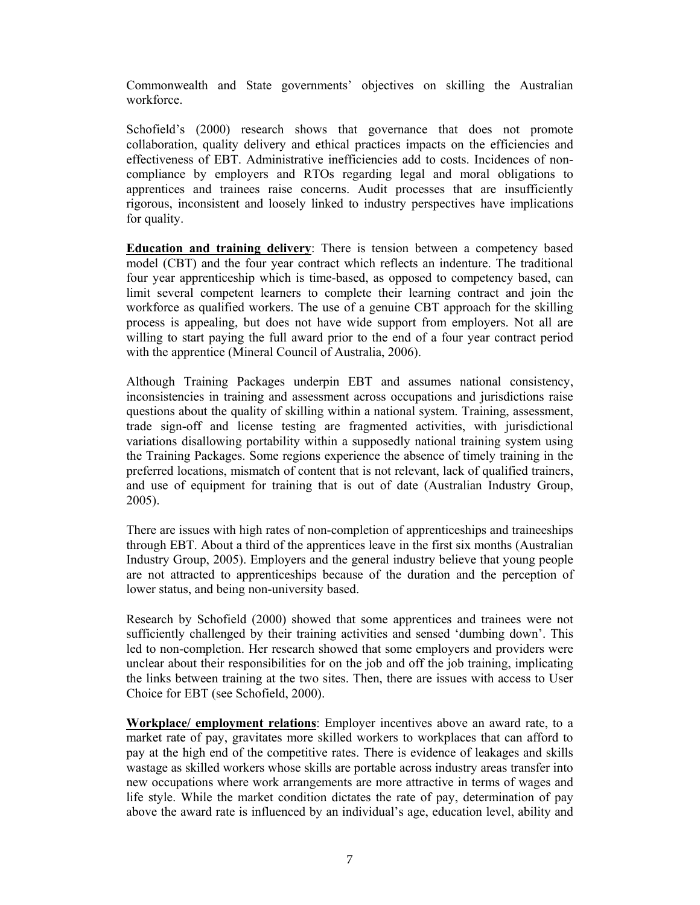Commonwealth and State governments' objectives on skilling the Australian workforce.

Schofield's (2000) research shows that governance that does not promote collaboration, quality delivery and ethical practices impacts on the efficiencies and effectiveness of EBT. Administrative inefficiencies add to costs. Incidences of noncompliance by employers and RTOs regarding legal and moral obligations to apprentices and trainees raise concerns. Audit processes that are insufficiently rigorous, inconsistent and loosely linked to industry perspectives have implications for quality.

**Education and training delivery**: There is tension between a competency based model (CBT) and the four year contract which reflects an indenture. The traditional four year apprenticeship which is time-based, as opposed to competency based, can limit several competent learners to complete their learning contract and join the workforce as qualified workers. The use of a genuine CBT approach for the skilling process is appealing, but does not have wide support from employers. Not all are willing to start paying the full award prior to the end of a four year contract period with the apprentice (Mineral Council of Australia, 2006).

Although Training Packages underpin EBT and assumes national consistency, inconsistencies in training and assessment across occupations and jurisdictions raise questions about the quality of skilling within a national system. Training, assessment, trade sign-off and license testing are fragmented activities, with jurisdictional variations disallowing portability within a supposedly national training system using the Training Packages. Some regions experience the absence of timely training in the preferred locations, mismatch of content that is not relevant, lack of qualified trainers, and use of equipment for training that is out of date (Australian Industry Group, 2005).

There are issues with high rates of non-completion of apprenticeships and traineeships through EBT. About a third of the apprentices leave in the first six months (Australian Industry Group, 2005). Employers and the general industry believe that young people are not attracted to apprenticeships because of the duration and the perception of lower status, and being non-university based.

Research by Schofield (2000) showed that some apprentices and trainees were not sufficiently challenged by their training activities and sensed 'dumbing down'. This led to non-completion. Her research showed that some employers and providers were unclear about their responsibilities for on the job and off the job training, implicating the links between training at the two sites. Then, there are issues with access to User Choice for EBT (see Schofield, 2000).

**Workplace/ employment relations**: Employer incentives above an award rate, to a market rate of pay, gravitates more skilled workers to workplaces that can afford to pay at the high end of the competitive rates. There is evidence of leakages and skills wastage as skilled workers whose skills are portable across industry areas transfer into new occupations where work arrangements are more attractive in terms of wages and life style. While the market condition dictates the rate of pay, determination of pay above the award rate is influenced by an individual's age, education level, ability and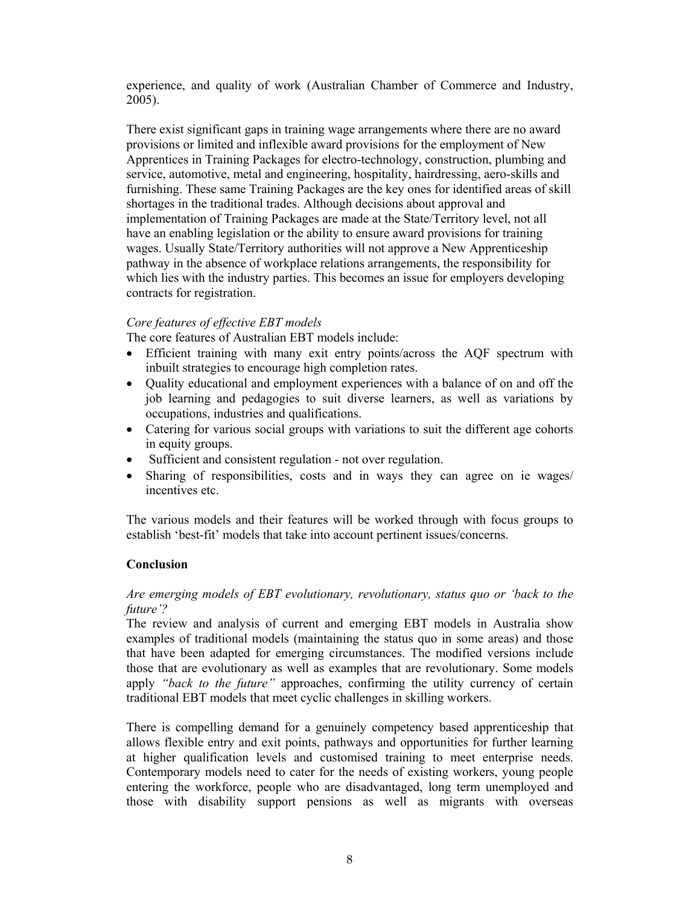experience, and quality of work (Australian Chamber of Commerce and Industry, 2005).

There exist significant gaps in training wage arrangements where there are no award provisions or limited and inflexible award provisions for the employment of New Apprentices in Training Packages for electro-technology, construction, plumbing and service, automotive, metal and engineering, hospitality, hairdressing, aero-skills and furnishing. These same Training Packages are the key ones for identified areas of skill shortages in the traditional trades. Although decisions about approval and implementation of Training Packages are made at the State/Territory level, not all have an enabling legislation or the ability to ensure award provisions for training wages. Usually State/Territory authorities will not approve a New Apprenticeship pathway in the absence of workplace relations arrangements, the responsibility for which lies with the industry parties. This becomes an issue for employers developing contracts for registration.

## *Core features of effective EBT models*

The core features of Australian EBT models include:

- Efficient training with many exit entry points/across the AQF spectrum with inbuilt strategies to encourage high completion rates.
- Quality educational and employment experiences with a balance of on and off the job learning and pedagogies to suit diverse learners, as well as variations by occupations, industries and qualifications.
- Catering for various social groups with variations to suit the different age cohorts in equity groups.
- Sufficient and consistent regulation not over regulation.
- Sharing of responsibilities, costs and in ways they can agree on ie wages/ incentives etc.

The various models and their features will be worked through with focus groups to establish 'best-fit' models that take into account pertinent issues/concerns.

# **Conclusion**

## *Are emerging models of EBT evolutionary, revolutionary, status quo or 'back to the future'?*

The review and analysis of current and emerging EBT models in Australia show examples of traditional models (maintaining the status quo in some areas) and those that have been adapted for emerging circumstances. The modified versions include those that are evolutionary as well as examples that are revolutionary. Some models apply *"back to the future"* approaches, confirming the utility currency of certain traditional EBT models that meet cyclic challenges in skilling workers.

There is compelling demand for a genuinely competency based apprenticeship that allows flexible entry and exit points, pathways and opportunities for further learning at higher qualification levels and customised training to meet enterprise needs. Contemporary models need to cater for the needs of existing workers, young people entering the workforce, people who are disadvantaged, long term unemployed and those with disability support pensions as well as migrants with overseas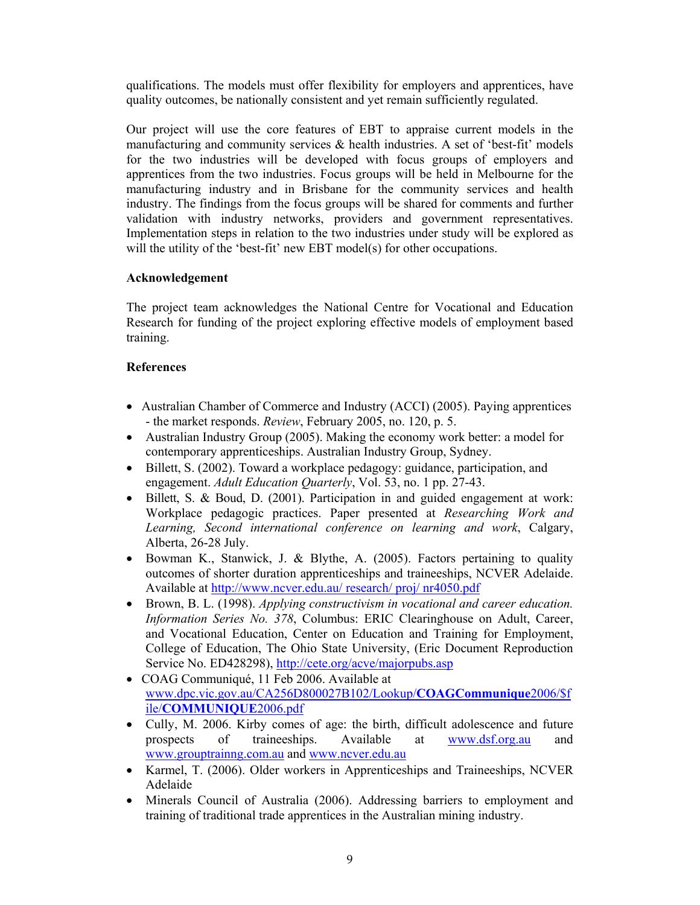qualifications. The models must offer flexibility for employers and apprentices, have quality outcomes, be nationally consistent and yet remain sufficiently regulated.

Our project will use the core features of EBT to appraise current models in the manufacturing and community services  $\&$  health industries. A set of 'best-fit' models for the two industries will be developed with focus groups of employers and apprentices from the two industries. Focus groups will be held in Melbourne for the manufacturing industry and in Brisbane for the community services and health industry. The findings from the focus groups will be shared for comments and further validation with industry networks, providers and government representatives. Implementation steps in relation to the two industries under study will be explored as will the utility of the 'best-fit' new EBT model(s) for other occupations.

# **Acknowledgement**

The project team acknowledges the National Centre for Vocational and Education Research for funding of the project exploring effective models of employment based training.

# **References**

- Australian Chamber of Commerce and Industry (ACCI) (2005). Paying apprentices - the market responds. *Review*, February 2005, no. 120, p. 5.
- Australian Industry Group (2005). Making the economy work better: a model for contemporary apprenticeships. Australian Industry Group, Sydney.
- Billett, S. (2002). Toward a workplace pedagogy: guidance, participation, and engagement. *Adult Education Quarterly*, Vol. 53, no. 1 pp. 27-43.
- Billett, S. & Boud, D. (2001). Participation in and guided engagement at work: Workplace pedagogic practices. Paper presented at *Researching Work and Learning, Second international conference on learning and work*, Calgary, Alberta, 26-28 July.
- Bowman K., Stanwick, J. & Blythe, A. (2005). Factors pertaining to quality outcomes of shorter duration apprenticeships and traineeships, NCVER Adelaide. Available at http://www.ncver.edu.au/ research/ proj/ nr4050.pdf
- Brown, B. L. (1998). *Applying constructivism in vocational and career education. Information Series No. 378*, Columbus: ERIC Clearinghouse on Adult, Career, and Vocational Education, Center on Education and Training for Employment, College of Education, The Ohio State University, (Eric Document Reproduction Service No. ED428298), http://cete.org/acve/majorpubs.asp
- COAG Communiqué, 11 Feb 2006. Available at www.dpc.vic.gov.au/CA256D800027B102/Lookup/**COAGCommunique**2006/\$f ile/**COMMUNIQUE**2006.pdf
- Cully, M. 2006. Kirby comes of age: the birth, difficult adolescence and future prospects of traineeships. Available at www.dsf.org.au and www.grouptrainng.com.au and www.ncver.edu.au
- Karmel, T. (2006). Older workers in Apprenticeships and Traineeships, NCVER Adelaide
- Minerals Council of Australia (2006). Addressing barriers to employment and training of traditional trade apprentices in the Australian mining industry.